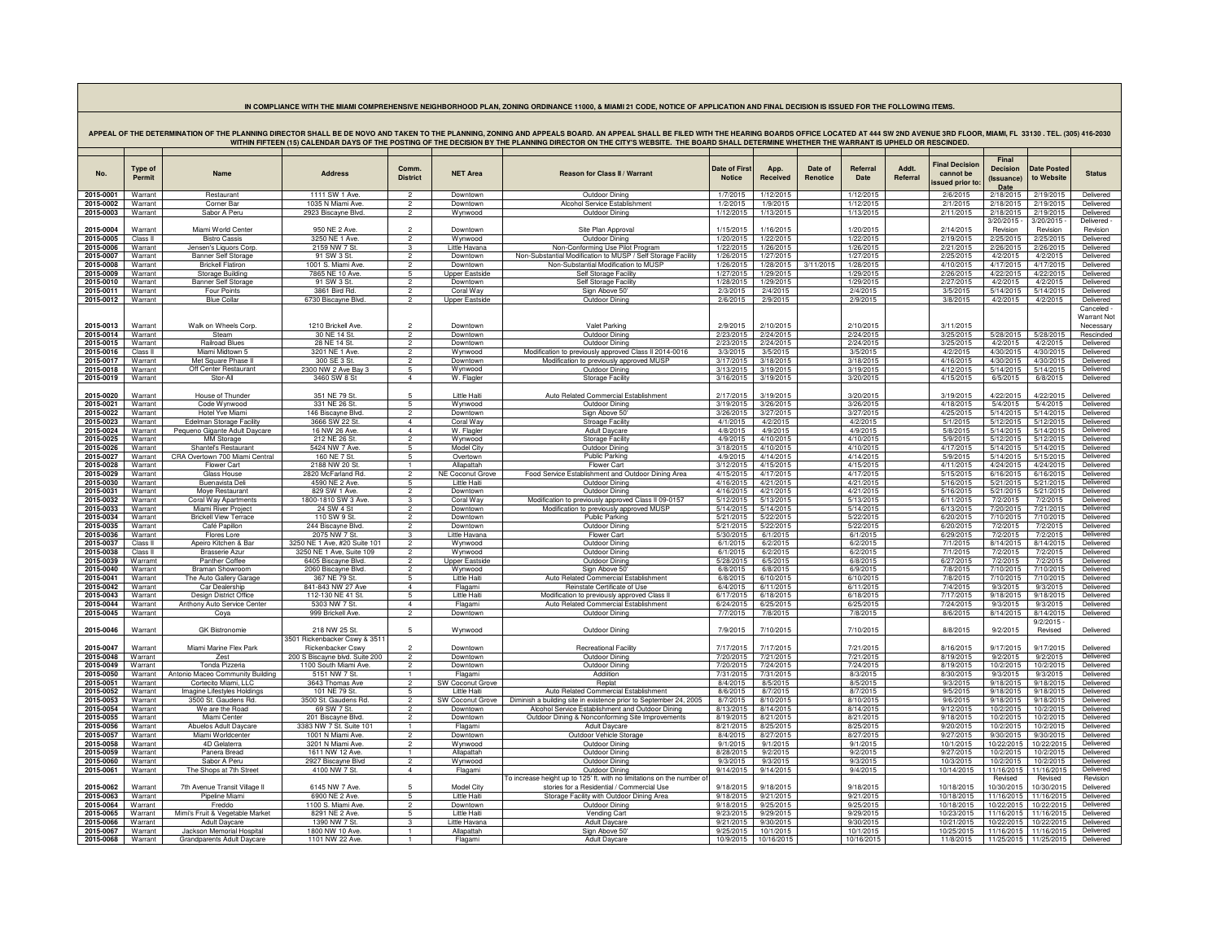## **IN COMPLIANCE WITH THE MIAMI COMPREHENSIVE NEIGHBORHOOD PLAN, ZONING ORDINANCE 11000, & MIAMI 21 CODE, NOTICE OF APPLICATION AND FINAL DECISION IS ISSUED FOR THE FOLLOWING ITEMS.**

| APPEAL OF THE DETERMINATION OF THE PLANNING<br>THE HEARING BOARDS OFFICE LOCATED AT 444 SW 2ND AVENUE 3RD FLOOR, MIAMI, FL  33130 . TEL. (305) 416-2030<br>DIRECTOR SHALL BE DE NOVO AND TAKEN TO THE PLANNING. ZONING AND APPEALS BOARD.<br>WITHIN FIFTEEN (15) CALENDAR DAYS OF THE POSTING OF THE DECISION BY THE PLANNING DIRECTOR ON THE CITY'S WEBSITE. THE BOARD SHALL DETERMINE WHETHER THE WARRANT IS UPHELD OR RESCINDED. |                          |                                                         |                                                   |                                  |                                                |                                                                                                  |                                |                        |                     |                        |                   |                                                      |                                                |                           |                        |
|-------------------------------------------------------------------------------------------------------------------------------------------------------------------------------------------------------------------------------------------------------------------------------------------------------------------------------------------------------------------------------------------------------------------------------------|--------------------------|---------------------------------------------------------|---------------------------------------------------|----------------------------------|------------------------------------------------|--------------------------------------------------------------------------------------------------|--------------------------------|------------------------|---------------------|------------------------|-------------------|------------------------------------------------------|------------------------------------------------|---------------------------|------------------------|
|                                                                                                                                                                                                                                                                                                                                                                                                                                     |                          |                                                         |                                                   |                                  |                                                |                                                                                                  |                                |                        |                     |                        |                   |                                                      |                                                |                           |                        |
| No.                                                                                                                                                                                                                                                                                                                                                                                                                                 | <b>Type of</b><br>Permit | <b>Name</b>                                             | <b>Address</b>                                    | Comm.<br><b>District</b>         | <b>NET Area</b>                                | Reason for Class II / Warrant                                                                    | Date of First<br><b>Notice</b> | App.<br>Received       | Date of<br>Renotice | Referral<br>Date       | Addt.<br>Referral | <b>Final Decision</b><br>cannot be<br>ssued prior to | Final<br><b>Decision</b><br>(Issuance)<br>Date | Date Posted<br>to Website | <b>Status</b>          |
| 2015-0001                                                                                                                                                                                                                                                                                                                                                                                                                           | Warrant                  | Restaurant                                              | 1111 SW 1 Ave                                     | $\overline{2}$                   | Downtown                                       | <b>Outdoor Dining</b>                                                                            | 1/7/2015                       | 1/12/2015              |                     | 1/12/2015              |                   | 2/6/2015                                             | 2/18/2015                                      | 2/19/2015                 | Delivered              |
| 2015-0002<br>2015-0003                                                                                                                                                                                                                                                                                                                                                                                                              | Warrant<br>Warrant       | Corner Bar<br>Sabor A Peru                              | 1035 N Miami Ave<br>2923 Biscayne Blvd.           | $\overline{2}$<br>$\mathcal{P}$  | Downtown<br>Wynwood                            | Alcohol Service Establishment<br>Outdoor Dining                                                  | 1/2/2015<br>1/12/2015          | 1/9/2015<br>1/13/2015  |                     | 1/12/2015<br>1/13/2015 |                   | 2/1/2015<br>2/11/2015                                | 2/18/2015<br>2/18/2015                         | 2/19/2015<br>2/19/2015    | Delivered<br>Delivered |
|                                                                                                                                                                                                                                                                                                                                                                                                                                     |                          |                                                         |                                                   |                                  |                                                |                                                                                                  |                                |                        |                     |                        |                   |                                                      | 3/20/2015                                      | 3/20/2015                 | Delivered -            |
| 2015-0004                                                                                                                                                                                                                                                                                                                                                                                                                           | Warrant                  | Miami World Center                                      | 950 NE 2 Ave.                                     |                                  | Downtown                                       | Site Plan Approval                                                                               | 1/15/2015                      | 1/16/2015              |                     | 1/20/2015              |                   | 2/14/2015                                            | Revision                                       | Revision                  | Revision               |
| 2015-0005                                                                                                                                                                                                                                                                                                                                                                                                                           | Class II                 | Ristro Cassis                                           | 3250 NF 1 Ave                                     | $\overline{2}$                   | Wynwood                                        | Outdoor Dining                                                                                   | 1/20/2015                      | 1/22/2015              |                     | 1/22/2015              |                   | 2/19/2015                                            | 2/25/2015                                      | 2/25/2015                 | Delivered              |
| 2015-0006                                                                                                                                                                                                                                                                                                                                                                                                                           | Warrant                  | Jensen's Liquors Corp.                                  | 2159 NW 7 St                                      | 3<br>$\mathcal{P}$               | Little Havana                                  | Non-Conforming Use Pilot Program<br>Non-Substantial Modification to MUSP / Self Storage Facility | 1/22/2015                      | 1/26/2015              |                     | 1/26/2015              |                   | 2/21/2015                                            | 2/26/201                                       | 2/26/2015                 | Delivered<br>Delivered |
| 2015-0007<br>2015-0008                                                                                                                                                                                                                                                                                                                                                                                                              | Warrant<br>Warrant       | <b>Banner Self Storage</b><br><b>Brickell Flatiron</b>  | 91 SW 3 St.<br>1001 S. Miami Ave                  | $\overline{2}$                   | Downtown<br>Downtown                           | Non-Substantial Modification to MUSF                                                             | 1/26/2015<br>1/26/2015         | 1/27/2015<br>1/28/2015 | 3/11/2015           | 1/27/2015<br>1/28/2015 |                   | 2/25/2015<br>4/10/2015                               | 4/2/2015<br>4/17/2015                          | 4/2/2015<br>4/17/2015     | Delivered              |
| 2015-0009                                                                                                                                                                                                                                                                                                                                                                                                                           | Warrant                  | <b>Storage Building</b>                                 | 7865 NF 10 Ave                                    | 5                                | <b>Jpper Eastside</b>                          | Self Storage Facility                                                                            | 1/27/2015                      | 1/29/2015              |                     | 1/29/2015              |                   | 2/26/2015                                            | 4/22/201                                       | 4/22/2015                 | Delivered              |
| 2015-0010                                                                                                                                                                                                                                                                                                                                                                                                                           | Warrant                  | Banner Self Storage                                     | 91 SW 3 St                                        | $\mathcal{P}$                    | Downtown                                       | Self Storage Facility                                                                            | 1/28/2015                      | 1/29/2015              |                     | 1/29/2015              |                   | 2/27/2015                                            | 4/2/201                                        | 4/2/2015                  | Delivered              |
| 2015-0011<br>2015-0012                                                                                                                                                                                                                                                                                                                                                                                                              | Warrant<br>Warrant       | <b>Four Points</b><br><b>Blue Collar</b>                | 3861 Bird Rd.<br>6730 Biscavne Blvd               | $\overline{2}$<br>$\mathcal{P}$  | Coral Way<br><b>Upper Eastside</b>             | Sign Above 50<br>Outdoor Dining                                                                  | 2/3/2015<br>2/6/2015           | 2/4/2015<br>2/9/2015   |                     | 2/4/2015<br>2/9/2015   |                   | 3/5/2015<br>3/8/2015                                 | 5/14/201!<br>4/2/2015                          | 5/14/2015<br>4/2/2015     | Delivered<br>Delivered |
|                                                                                                                                                                                                                                                                                                                                                                                                                                     |                          |                                                         |                                                   |                                  |                                                |                                                                                                  |                                |                        |                     |                        |                   |                                                      |                                                |                           | Canceled -             |
|                                                                                                                                                                                                                                                                                                                                                                                                                                     |                          |                                                         |                                                   |                                  |                                                |                                                                                                  |                                |                        |                     |                        |                   |                                                      |                                                |                           | Warrant Not            |
| 2015-0013                                                                                                                                                                                                                                                                                                                                                                                                                           | Warrant                  | Walk on Wheels Corp.                                    | 1210 Brickell Ave                                 | $\mathcal{D}$                    | Downtown                                       | Valet Parking                                                                                    | 2/9/2015                       | 2/10/2015              |                     | 2/10/2015              |                   | 3/11/2015                                            |                                                |                           | Necessary              |
| 2015-0014                                                                                                                                                                                                                                                                                                                                                                                                                           | Warrant                  | Steam<br><b>Railroad Blues</b>                          | 30 NF 14 St.<br>28 NF 14 St                       | $\mathcal{P}$<br>$\overline{2}$  | Downtown<br>Downtown                           | Outdoor Dining<br>Outdoor Dining                                                                 | 2/23/2015                      | 2/24/2015              |                     | 2/24/2015              |                   | 3/25/2015                                            | 5/28/2015                                      | 5/28/2015                 | Rescinded              |
| 2015-0015<br>2015-0016                                                                                                                                                                                                                                                                                                                                                                                                              | Warrant<br>Class II      | Miami Midtown 5                                         | 3201 NE 1 Ave.                                    | $\overline{2}$                   | Wynwood                                        | Modification to previously approved Class II 2014-0016                                           | 2/23/2015<br>3/3/2015          | 2/24/2015<br>3/5/2015  |                     | 2/24/2015<br>3/5/2015  |                   | 3/25/2015<br>4/2/2015                                | 4/2/2015<br>4/30/2015                          | 4/2/2015<br>4/30/2015     | Delivered<br>Delivered |
| 2015-0017                                                                                                                                                                                                                                                                                                                                                                                                                           | Warrant                  | Met Square Phase II                                     | 300 SF 3 St.                                      | $\overline{2}$                   | Downtown                                       | Modification to previously approved MUSP                                                         | 3/17/2015                      | 3/18/2015              |                     | 3/18/2015              |                   | 4/16/2015                                            | 4/30/2015                                      | 4/30/2015                 | Delivered              |
| 2015-0018                                                                                                                                                                                                                                                                                                                                                                                                                           | Warrant                  | Off Center Restaurant                                   | 2300 NW 2 Ave Bay 3                               | 5                                | Wynwood                                        | Outdoor Dining                                                                                   | 3/13/2015                      | 3/19/2015              |                     | 3/19/2015              |                   | 4/12/2015                                            | 5/14/2015                                      | 5/14/2015                 | Delivered              |
| 2015-0019                                                                                                                                                                                                                                                                                                                                                                                                                           | Warrant                  | Stor-All                                                | 3460 SW 8 St                                      | $\overline{4}$                   | W. Flagler                                     | Storage Facility                                                                                 | 3/16/2015                      | 3/19/2015              |                     | 3/20/2015              |                   | 4/15/2015                                            | 6/5/2015                                       | 6/8/2015                  | Delivered              |
| 2015-0020                                                                                                                                                                                                                                                                                                                                                                                                                           | Warrant                  | House of Thunder                                        | 351 NF 79 St                                      |                                  | I itle Hait                                    | Auto Related Commercial Establishment                                                            | 2/17/2015                      | 3/19/2015              |                     | 3/20/2015              |                   | 3/19/2015                                            | 4/22/2015                                      | 4/22/2015                 | Delivered              |
| 2015-0021                                                                                                                                                                                                                                                                                                                                                                                                                           | Warrant                  | Code Wynwood                                            | 331 NE 26 St.                                     | 5                                | Wynwood                                        | Outdoor Dining                                                                                   | 3/19/2015                      | 3/26/2015              |                     | 3/26/2015              |                   | 4/18/2015                                            | 5/4/2015                                       | 5/4/2015                  | Delivered              |
| 2015-0022                                                                                                                                                                                                                                                                                                                                                                                                                           | Warrant                  | Hotel Yve Miami                                         | 146 Biscayne Blyd                                 | $\overline{2}$                   | Downtown                                       | Sign Above 50'                                                                                   | 3/26/2015                      | 3/27/2015              |                     | 3/27/2015              |                   | 4/25/2015                                            | 5/14/2015                                      | 5/14/2015                 | Delivered              |
| 2015-0023                                                                                                                                                                                                                                                                                                                                                                                                                           | Warrant                  | <b>Edelman Storage Facility</b>                         | 3666 SW 22 St.                                    | $\overline{4}$<br>$\overline{4}$ | Coral Way                                      | <b>Stroage Facility</b>                                                                          | 4/1/2015                       | 4/2/2015               |                     | 4/2/2015               |                   | 5/1/2015                                             | 5/12/2015                                      | 5/12/2015                 | Delivered              |
| 2015-0024<br>2015-0025                                                                                                                                                                                                                                                                                                                                                                                                              | Warrant<br>Warrant       | Pequeno Gigante Adult Daycare<br><b>MM</b> Storage      | 16 NW 26 Ave.<br>212 NE 26 St                     | $\overline{2}$                   | W. Flagler<br>Wynwood                          | <b>Adult Daycare</b><br><b>Storage Facility</b>                                                  | 4/8/2015<br>4/9/2015           | 4/9/2015<br>4/10/2015  |                     | 4/9/2015<br>4/10/2015  |                   | 5/8/2015<br>5/9/2015                                 | 5/14/2015<br>5/12/2015                         | 5/14/2015<br>5/12/2015    | Delivered<br>Delivered |
| 2015-0026                                                                                                                                                                                                                                                                                                                                                                                                                           | Warrant                  | Shantel's Restaurant                                    | 5424 NW 7 Ave                                     | 5                                | <b>Model City</b>                              | Outdoor Dining                                                                                   | 3/18/2015                      | 4/10/2015              |                     | 4/10/2015              |                   | 4/17/2015                                            | 5/14/201                                       | 5/14/2015                 | Delivered              |
| 2015-0027                                                                                                                                                                                                                                                                                                                                                                                                                           | Warrant                  | CRA Overtown 700 Miami Central                          | 160 NF 7 St.                                      | -5                               | Overtown                                       | Public Parking                                                                                   | 4/9/2015                       | 4/14/2015              |                     | 4/14/2015              |                   | 5/9/2015                                             | 5/14/2015                                      | 5/15/2015                 | Delivered              |
| 2015-0028<br>2015-0029                                                                                                                                                                                                                                                                                                                                                                                                              | Warrant<br>Warrant       | Flower Cart<br><b>Glass House</b>                       | 2188 NW 20 St<br>2820 McFarland Ro                |                                  | Allapattah<br>NE Coconut Grove                 | Flower Cart<br>Food Service Establishment and Outdoor Dining Area                                | 3/12/2015<br>4/15/2015         | 4/15/2015<br>4/17/2015 |                     | 4/15/2015<br>4/17/2015 |                   | 4/11/2015<br>5/15/2015                               | 4/24/2015<br>6/16/2015                         | 4/24/2015<br>6/16/2015    | Delivered<br>Delivered |
| 2015-0030                                                                                                                                                                                                                                                                                                                                                                                                                           | Warrant                  | <b>Buenavista Del</b>                                   | 4590 NE 2 Ave.                                    |                                  | I ittle Haiti                                  | Outdoor Dining                                                                                   | 4/16/2015                      | 4/21/2015              |                     | 4/21/2015              |                   | 5/16/2015                                            | 5/21/2015                                      | 5/21/2015                 | Delivered              |
| 2015-0031                                                                                                                                                                                                                                                                                                                                                                                                                           | Warrant                  | Moye Restaurant                                         | 829 SW 1 Ave.                                     | $\overline{2}$                   | Downtown                                       | <b>Outdoor Dining</b>                                                                            | 4/16/2015                      | 4/21/2015              |                     | 4/21/2015              |                   | 5/16/2015                                            | 5/21/2015                                      | 5/21/2015                 | Delivered              |
| 2015-0032                                                                                                                                                                                                                                                                                                                                                                                                                           | Warrant                  | <b>Coral Way Apartments</b>                             | 1800-1810 SW 3 Ave                                | 3                                | Coral Way                                      | Modification to previously approved Class II 09-0157                                             | 5/12/2015                      | 5/13/2015              |                     | 5/13/2015              |                   | 6/11/2015                                            | 7/2/2015                                       | 7/2/2015                  | Delivered              |
| 2015-0033<br>2015-0034                                                                                                                                                                                                                                                                                                                                                                                                              | Warrant<br>Warrant       | Miami River Project<br><b>Brickell View Terrace</b>     | 24 SW 4 St<br>110 SW 9 St.                        | $\overline{2}$<br>$\mathcal{P}$  | Downtown<br>Downtown                           | Modification to previously approved MUSF<br>Public Parking                                       | 5/14/2015<br>5/21/2015         | 5/14/2015<br>5/22/2015 |                     | 5/14/2015<br>5/22/2015 |                   | 6/13/2015<br>6/20/2015                               | 7/20/2015<br>7/10/2015                         | 7/21/2015<br>7/10/2015    | Delivered<br>Delivered |
| 2015-0035                                                                                                                                                                                                                                                                                                                                                                                                                           | Warrant                  | Café Papillon                                           | 244 Biscayne Blvd                                 | $\mathcal{P}$                    | Downtown                                       | Outdoor Dining                                                                                   | 5/21/2015                      | 5/22/2015              |                     | 5/22/2015              |                   | 6/20/2015                                            | 7/2/2015                                       | 7/2/2015                  | Delivered              |
| 2015-0036                                                                                                                                                                                                                                                                                                                                                                                                                           | Warrant                  | Flores Lore                                             | 2075 NW 7 St                                      | $\mathcal{R}$                    | I ittle Havana                                 | <b>Flower Cart</b>                                                                               | 5/30/2015                      | 6/1/2015               |                     | 6/1/2015               |                   | 6/29/2015                                            | 7/2/2015                                       | 7/2/2015                  | Delivered              |
| 2015-0037                                                                                                                                                                                                                                                                                                                                                                                                                           | Class II                 | Apeiro Kitchen & Bar                                    | 3250 NE 1 Ave, #20 Suite 101                      | $\overline{2}$                   | Wynwood                                        | Outdoor Dining                                                                                   | 6/1/2015                       | 6/2/2015               |                     | 6/2/2015               |                   | 7/1/2015                                             | 8/14/201                                       | 8/14/2015                 | Delivered              |
| 2015-0038<br>2015-0039                                                                                                                                                                                                                                                                                                                                                                                                              | Class II<br>Warramt      | Brasserie Azur<br>Panther Coffee                        | 3250 NE 1 Ave, Suite 109<br>6405 Biscayne Blvd    | $\mathcal{P}$<br>$\mathcal{P}$   | Wynwood<br><b>Unner Fastside</b>               | Outdoor Dining<br>Outdoor Dining                                                                 | 6/1/2015<br>5/28/2015          | 6/2/2015<br>6/5/2015   |                     | 6/2/2015<br>6/8/2015   |                   | 7/1/2015<br>6/27/2015                                | 7/2/2015<br>7/2/2015                           | 7/2/2015<br>7/2/2015      | Delivered<br>Delivered |
| 2015-0040                                                                                                                                                                                                                                                                                                                                                                                                                           | Warrant                  | <b>Braman Showroom</b>                                  | 2060 Biscayne Blvd                                |                                  | Wynwood                                        | Sign Above 50'                                                                                   | 6/8/2015                       | 6/8/2015               |                     | 6/9/2015               |                   | 7/8/2015                                             | 7/10/201                                       | 7/10/2015                 | Delivered              |
| 2015-0041                                                                                                                                                                                                                                                                                                                                                                                                                           | Warrant                  | The Auto Gallery Garage                                 | 367 NF 79 St                                      | 5                                | I ittle Haiti                                  | Auto Related Commercial Establishment                                                            | 6/8/2015                       | 6/10/2015              |                     | 6/10/2015              |                   | 7/8/2015                                             | 7/10/2015                                      | 7/10/2015                 | <b>Delivered</b>       |
| 2015-0042                                                                                                                                                                                                                                                                                                                                                                                                                           | Warrant                  | Car Dealership                                          | 841-843 NW 27 Ave                                 | $\overline{4}$                   | Flagami                                        | Reinstate Certificate of Use                                                                     | 6/4/2015                       | 6/11/2015              |                     | 6/11/2015              |                   | 7/4/2015                                             | 9/3/2015                                       | 9/3/2015                  | Delivered              |
| 2015-0043<br>2015-0044                                                                                                                                                                                                                                                                                                                                                                                                              | Warrant<br>Warrant       | Design District Office<br>Anthony Auto Service Center   | 112-130 NF 41 St<br>5303 NW 7 St                  | 5<br>$\overline{4}$              | I ittle Hait<br>Flagami                        | Modification to previously approved Class<br>Auto Related Commercial Establishment               | 6/17/2015<br>6/24/2015         | 6/18/2015<br>6/25/2015 |                     | 6/18/2015<br>6/25/2015 |                   | 7/17/2015<br>7/24/2015                               | 9/18/201<br>9/3/2015                           | 9/18/2015<br>9/3/2015     | Delivered<br>Delivered |
| 2015-0045                                                                                                                                                                                                                                                                                                                                                                                                                           | Warrant                  | Coya                                                    | 999 Brickell Ave.                                 | $\mathcal{P}$                    | Downtown                                       | Outdoor Dining                                                                                   | 7/7/2015                       | 7/8/2015               |                     | 7/8/2015               |                   | 8/6/2015                                             | 8/14/2015                                      | 8/14/2015                 | Delivered              |
|                                                                                                                                                                                                                                                                                                                                                                                                                                     |                          |                                                         |                                                   |                                  |                                                |                                                                                                  |                                |                        |                     |                        |                   |                                                      |                                                | 9/2/2015                  |                        |
| 2015-0046                                                                                                                                                                                                                                                                                                                                                                                                                           | Warrant                  | <b>GK Bistronomie</b>                                   | 218 NW 25 St                                      | $\sqrt{2}$                       | Wynwood                                        | Outdoor Dining                                                                                   | 7/9/2015                       | 7/10/2015              |                     | 7/10/2015              |                   | 8/8/2015                                             | 9/2/2015                                       | Revised                   | Delivered              |
| 2015-0047                                                                                                                                                                                                                                                                                                                                                                                                                           | Warrant                  | Miami Marine Flex Park                                  | 3501 Rickenbacker Cswy & 351<br>Rickenbacker Cswy |                                  | Downtown                                       | <b>Recreational Facility</b>                                                                     | 7/17/2015                      | 7/17/2015              |                     | 7/21/2015              |                   | 8/16/2015                                            | 9/17/2015                                      | 9/17/2015                 | Delivered              |
| 2015-0048                                                                                                                                                                                                                                                                                                                                                                                                                           | Warrant                  | Zest                                                    | 200 S Biscayne blvd. Suite 200                    | $\overline{2}$                   | Downtown                                       | Outdoor Dining                                                                                   | 7/20/2015                      | 7/21/2015              |                     | 7/21/2015              |                   | 8/19/2015                                            | 9/2/2015                                       | 9/2/2015                  | Delivered              |
| 2015-0049                                                                                                                                                                                                                                                                                                                                                                                                                           | Warrant                  | Tonda Pizzeria                                          | 1100 South Miami Ave.                             | $\mathcal{P}$                    | Downtown                                       | Outdoor Dining                                                                                   | 7/20/2015                      | 7/24/2015              |                     | 7/24/2015              |                   | 8/19/2015                                            | 10/2/2015                                      | 10/2/2015                 | Delivered              |
| 2015-0050                                                                                                                                                                                                                                                                                                                                                                                                                           | Warrant                  | Antonio Maceo Community Building                        | 5151 NW 7 St.                                     | $\mathbf{1}$                     | Flagami                                        | Addiition                                                                                        | 7/31/2015                      | 7/31/2015              |                     | 8/3/2015               |                   | 8/30/2015                                            | 9/3/2015                                       | 9/3/2015                  | Delivered              |
| 2015-0051<br>2015-0052                                                                                                                                                                                                                                                                                                                                                                                                              | Warrant<br>Warrant       | Cortecito Miami, LLC<br>Imagine Lifestyles Holdings     | 3643 Thomas Ave<br>101 NE 79 St.                  | $\overline{2}$<br>$\overline{5}$ | <b>SW Coconut Grove</b><br><b>Little Haiti</b> | Replat<br>Auto Related Commercial Establishment                                                  | 8/4/2015<br>8/6/2015           | 8/5/2015<br>8/7/2015   |                     | 8/5/2015<br>8/7/2015   |                   | 9/3/2015<br>9/5/2015                                 | 9/18/2015<br>9/18/2015                         | 9/18/2015<br>9/18/2015    | Delivered<br>Delivered |
| 2015-0053                                                                                                                                                                                                                                                                                                                                                                                                                           | Warrant                  | 3500 St. Gaudens Rd.                                    | 3500 St. Gaudens Rd.                              | $\overline{2}$                   | <b>SW Coconut Grove</b>                        | Diminish a building site in existence prior to September 24, 2005                                | 8/7/2015                       | 8/10/2015              |                     | 8/10/2015              |                   | 9/6/2015                                             | 9/18/2015                                      | 9/18/2015                 | Delivered              |
| 2015-0054                                                                                                                                                                                                                                                                                                                                                                                                                           | Warrant                  | We are the Road                                         | 69 SW 7 St                                        | $\mathcal{P}$                    | Downtown                                       | Alcohol Service Establishment and Outdoor Dining                                                 | 8/13/2015                      | 8/14/2015              |                     | 8/14/2015              |                   | 9/12/2015                                            | 10/2/2015                                      | 10/2/2015                 | <b>Delivered</b>       |
| 2015-0055                                                                                                                                                                                                                                                                                                                                                                                                                           | Warrant                  | Miami Center                                            | 201 Biscayne Blvd                                 | $\mathcal{P}$                    | Downtown                                       | Outdoor Dining & Nonconforming Site Improvements                                                 | 8/19/2015                      | 8/21/2015              |                     | 8/21/2015              |                   | 9/18/2015                                            | 10/2/2015                                      | 10/2/2015                 | Delivered              |
| 2015-0056<br>2015-0057                                                                                                                                                                                                                                                                                                                                                                                                              | Warrant<br>Warrant       | <b>Abuelos Adult Daycare</b><br>Miami Worldcenter       | 3383 NW 7 St. Suite 101<br>1001 N Miami Ave.      | $\overline{2}$                   | Flagam<br>Downtown                             | <b>Adult Daycare</b><br>Outdoor Vehicle Storage                                                  | 8/21/2015<br>8/4/2015          | 8/25/2015<br>8/27/2015 |                     | 8/25/2015<br>8/27/2015 |                   | 9/20/2015<br>9/27/2015                               | 10/2/2015<br>9/30/2015                         | 10/2/2015<br>9/30/2015    | Delivered<br>Delivered |
| 2015-0058                                                                                                                                                                                                                                                                                                                                                                                                                           | Warrant                  | 4D Gelaterra                                            | 3201 N Miami Ave                                  | $\overline{2}$                   | Wynwood                                        | <b>Outdoor Dining</b>                                                                            | 9/1/2015                       | 9/1/2015               |                     | 9/1/2015               |                   | 10/1/2015                                            | 10/22/201                                      | 10/22/201                 | Delivered              |
| 2015-0059                                                                                                                                                                                                                                                                                                                                                                                                                           | Warrant                  | Panera Bread                                            | 1611 NW 12 Ave                                    | $\mathbf{1}$                     | Allapattah                                     | Outdoor Dining                                                                                   | 8/28/2015                      | 9/2/2015               |                     | 9/2/2015               |                   | 9/27/2015                                            | 10/2/2015                                      | 10/2/2015                 | Delivered              |
| 2015-0060                                                                                                                                                                                                                                                                                                                                                                                                                           | Warrant                  | Sabor A Peru                                            | 2927 Biscavne Blvd                                | $\overline{2}$                   | Wynwood                                        | Outdoor Dining                                                                                   | 9/3/2015                       | 9/3/2015               |                     | 9/3/2015               |                   | 10/3/2015                                            | 10/2/2015                                      | 10/2/2015                 | Delivered              |
| 2015-0061                                                                                                                                                                                                                                                                                                                                                                                                                           | Warrant                  | The Shops at 7th Street                                 | 4100 NW 7 St.                                     | $\overline{4}$                   | Flagami                                        | <b>Outdoor Dining</b><br>o increase height up to 125' ft. with no limitations on the number o    | 9/14/2015                      | 9/14/2015              |                     | 9/4/2015               |                   | 10/14/2015                                           | 11/16/201<br>Revised                           | 11/16/201<br>Revised      | Delivered<br>Revision  |
| 2015-0062                                                                                                                                                                                                                                                                                                                                                                                                                           | Warrant                  | 7th Avenue Transit Village I                            | 6145 NW 7 Ave                                     |                                  | Model City                                     | stories for a Residential / Commercial Use                                                       | 9/18/2015                      | 9/18/2015              |                     | 9/18/2015              |                   | 10/18/2015                                           | 10/30/201                                      | 10/30/2015                | Delivered              |
| 2015-0063                                                                                                                                                                                                                                                                                                                                                                                                                           | Warrant                  | Pineline Miam                                           | 6900 NF 2 Ave                                     | 5                                | Little Haiti                                   | Storage Facility with Outdoor Dining Area                                                        | 9/18/2015                      | 9/21/2015              |                     | 9/21/2015              |                   | 10/18/2015                                           | 11/16/201                                      | 11/16/201                 | Delivered              |
| 2015-0064                                                                                                                                                                                                                                                                                                                                                                                                                           | Warrant                  | Freddo                                                  | 1100 S. Miami Ave                                 | $\mathcal{P}$                    | Downtown                                       | Outdoor Dining                                                                                   | 9/18/2015                      | 9/25/2015              |                     | 9/25/2015              |                   | 10/18/2015                                           | 10/22/201                                      | 10/22/2015                | Delivered              |
| 2015-0065<br>2015-0066                                                                                                                                                                                                                                                                                                                                                                                                              | Warrant<br>Warrant       | Mimi's Fruit & Vegetable Market<br><b>Adult Daycare</b> | 8291 NF 2 Ave.<br>1390 NW 7 St                    | 5<br>3                           | I ittle Haiti<br>Little Havana                 | Vending Cart<br><b>Adult Daycare</b>                                                             | 9/23/2015<br>9/21/2015         | 9/29/2015<br>9/30/2015 |                     | 9/29/2015<br>9/30/2015 |                   | 10/23/2015<br>10/21/2015                             | 11/16/201<br>10/22/20                          | 11/16/2015<br>10/22/201   | Delivered<br>Delivered |
| 2015-0067                                                                                                                                                                                                                                                                                                                                                                                                                           | Warrant                  | Jackson Memorial Hospital                               | 1800 NW 10 Ave                                    |                                  | Allapattah                                     | Sign Above 50'                                                                                   | 9/25/2015                      | 10/1/2015              |                     | 10/1/2015              |                   | 10/25/2015                                           | 11/16/201                                      | 11/16/201                 | Delivered              |
| 2015-0068                                                                                                                                                                                                                                                                                                                                                                                                                           | Warrant                  | Grandparents Adult Daycare                              | 1101 NW 22 Ave                                    |                                  | Flagami                                        | <b>Adult Daycare</b>                                                                             | 10/9/2015                      | 10/16/2015             |                     | 10/16/2015             |                   | 11/8/2015                                            | 11/25/2015                                     | 11/25/2015                | Delivered              |